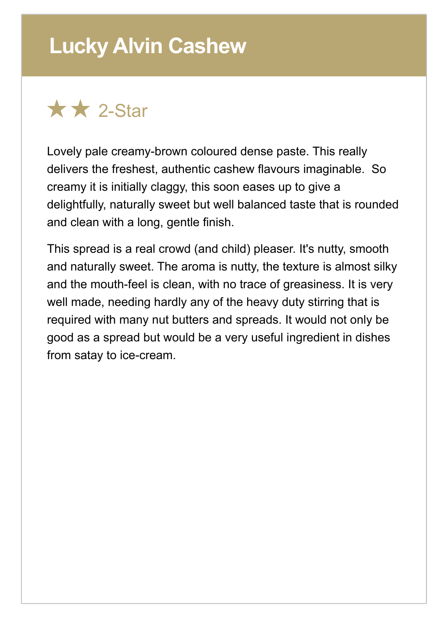## **Lucky Alvin Cashew**



Lovely pale creamy-brown coloured dense paste. This really delivers the freshest, authentic cashew flavours imaginable. So creamy it is initially claggy, this soon eases up to give a delightfully, naturally sweet but well balanced taste that is rounded and clean with a long, gentle finish.

This spread is a real crowd (and child) pleaser. It's nutty, smooth and naturally sweet. The aroma is nutty, the texture is almost silky and the mouth-feel is clean, with no trace of greasiness. It is very well made, needing hardly any of the heavy duty stirring that is required with many nut butters and spreads. It would not only be good as a spread but would be a very useful ingredient in dishes from satay to ice-cream.